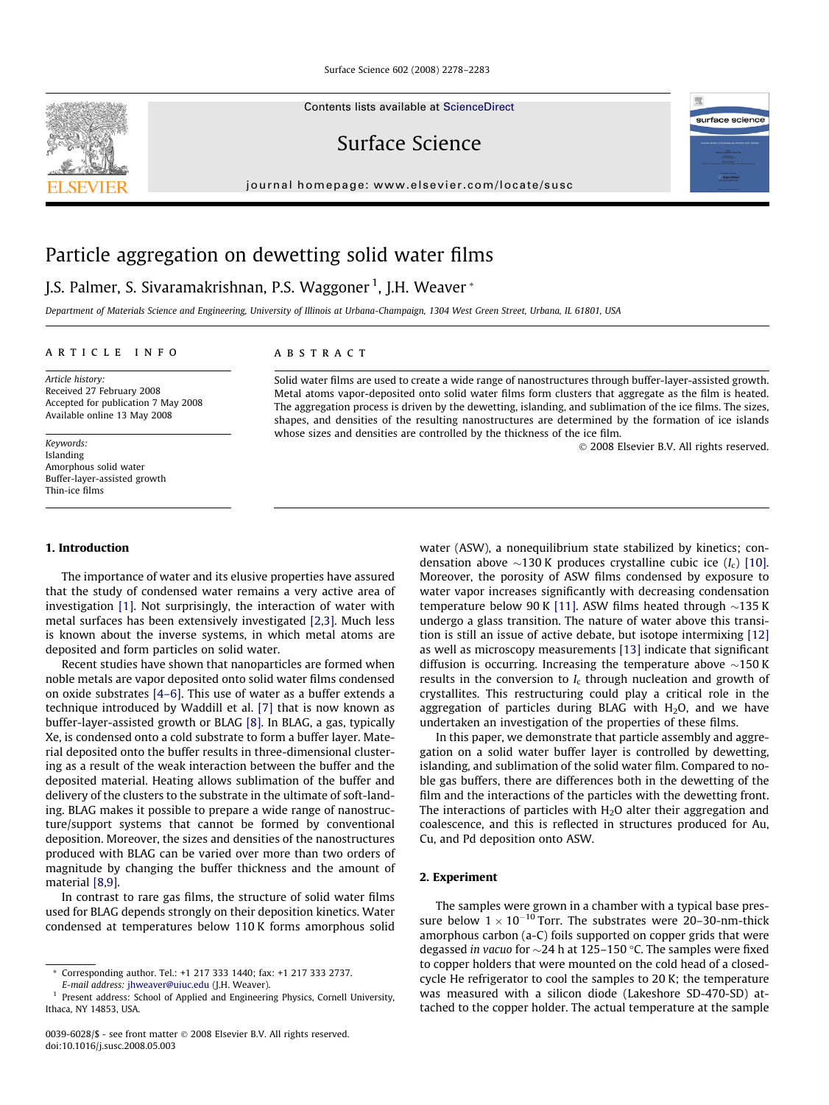Contents lists available at [ScienceDirect](http://www.sciencedirect.com/science/journal/00396028)

Surface Science

journal homepage: [www.elsevier.com/locate/susc](http://www.elsevier.com/locate/susc)

# Particle aggregation on dewetting solid water films

# J.S. Palmer, S. Sivaramakrishnan, P.S. Waggoner <sup>1</sup>, J.H. Weaver \*

Department of Materials Science and Engineering, University of Illinois at Urbana-Champaign, 1304 West Green Street, Urbana, IL 61801, USA

# article info

Article history: Received 27 February 2008 Accepted for publication 7 May 2008 Available online 13 May 2008

Keywords: Islanding Amorphous solid water Buffer-layer-assisted growth Thin-ice films

# 1. Introduction

The importance of water and its elusive properties have assured that the study of condensed water remains a very active area of investigation [\[1\]](#page-4-0). Not surprisingly, the interaction of water with metal surfaces has been extensively investigated [\[2,3\]](#page-4-0). Much less is known about the inverse systems, in which metal atoms are deposited and form particles on solid water.

Recent studies have shown that nanoparticles are formed when noble metals are vapor deposited onto solid water films condensed on oxide substrates [\[4–6\]](#page-4-0). This use of water as a buffer extends a technique introduced by Waddill et al. [\[7\]](#page-5-0) that is now known as buffer-layer-assisted growth or BLAG [\[8\].](#page-5-0) In BLAG, a gas, typically Xe, is condensed onto a cold substrate to form a buffer layer. Material deposited onto the buffer results in three-dimensional clustering as a result of the weak interaction between the buffer and the deposited material. Heating allows sublimation of the buffer and delivery of the clusters to the substrate in the ultimate of soft-landing. BLAG makes it possible to prepare a wide range of nanostructure/support systems that cannot be formed by conventional deposition. Moreover, the sizes and densities of the nanostructures produced with BLAG can be varied over more than two orders of magnitude by changing the buffer thickness and the amount of material [\[8,9\]](#page-5-0).

In contrast to rare gas films, the structure of solid water films used for BLAG depends strongly on their deposition kinetics. Water condensed at temperatures below 110 K forms amorphous solid

# ABSTRACT

Solid water films are used to create a wide range of nanostructures through buffer-layer-assisted growth. Metal atoms vapor-deposited onto solid water films form clusters that aggregate as the film is heated. The aggregation process is driven by the dewetting, islanding, and sublimation of the ice films. The sizes, shapes, and densities of the resulting nanostructures are determined by the formation of ice islands whose sizes and densities are controlled by the thickness of the ice film.

- 2008 Elsevier B.V. All rights reserved.

surface science

water (ASW), a nonequilibrium state stabilized by kinetics; condensation above  $\sim$ 130 K produces crystalline cubic ice (I<sub>c</sub>) [\[10\].](#page-5-0) Moreover, the porosity of ASW films condensed by exposure to water vapor increases significantly with decreasing condensation temperature below 90 K [\[11\].](#page-5-0) ASW films heated through  $\sim$ 135 K undergo a glass transition. The nature of water above this transition is still an issue of active debate, but isotope intermixing [\[12\]](#page-5-0) as well as microscopy measurements [\[13\]](#page-5-0) indicate that significant diffusion is occurring. Increasing the temperature above  $\sim$ 150 K results in the conversion to  $I_c$  through nucleation and growth of crystallites. This restructuring could play a critical role in the aggregation of particles during BLAG with  $H_2O$ , and we have undertaken an investigation of the properties of these films.

In this paper, we demonstrate that particle assembly and aggregation on a solid water buffer layer is controlled by dewetting, islanding, and sublimation of the solid water film. Compared to noble gas buffers, there are differences both in the dewetting of the film and the interactions of the particles with the dewetting front. The interactions of particles with  $H<sub>2</sub>O$  alter their aggregation and coalescence, and this is reflected in structures produced for Au, Cu, and Pd deposition onto ASW.

# 2. Experiment

The samples were grown in a chamber with a typical base pressure below  $1 \times 10^{-10}$  Torr. The substrates were 20–30-nm-thick amorphous carbon (a-C) foils supported on copper grids that were degassed in vacuo for  $\sim$ 24 h at 125–150 °C. The samples were fixed to copper holders that were mounted on the cold head of a closedcycle He refrigerator to cool the samples to 20 K; the temperature was measured with a silicon diode (Lakeshore SD-470-SD) attached to the copper holder. The actual temperature at the sample



Corresponding author. Tel.: +1 217 333 1440; fax: +1 217 333 2737.

E-mail address: [jhweaver@uiuc.edu](mailto:jhweaver@uiuc.edu) (J.H. Weaver). <sup>1</sup> Present address: School of Applied and Engineering Physics, Cornell University, Ithaca, NY 14853, USA.

<sup>0039-6028/\$ -</sup> see front matter © 2008 Elsevier B.V. All rights reserved. doi:10.1016/j.susc.2008.05.003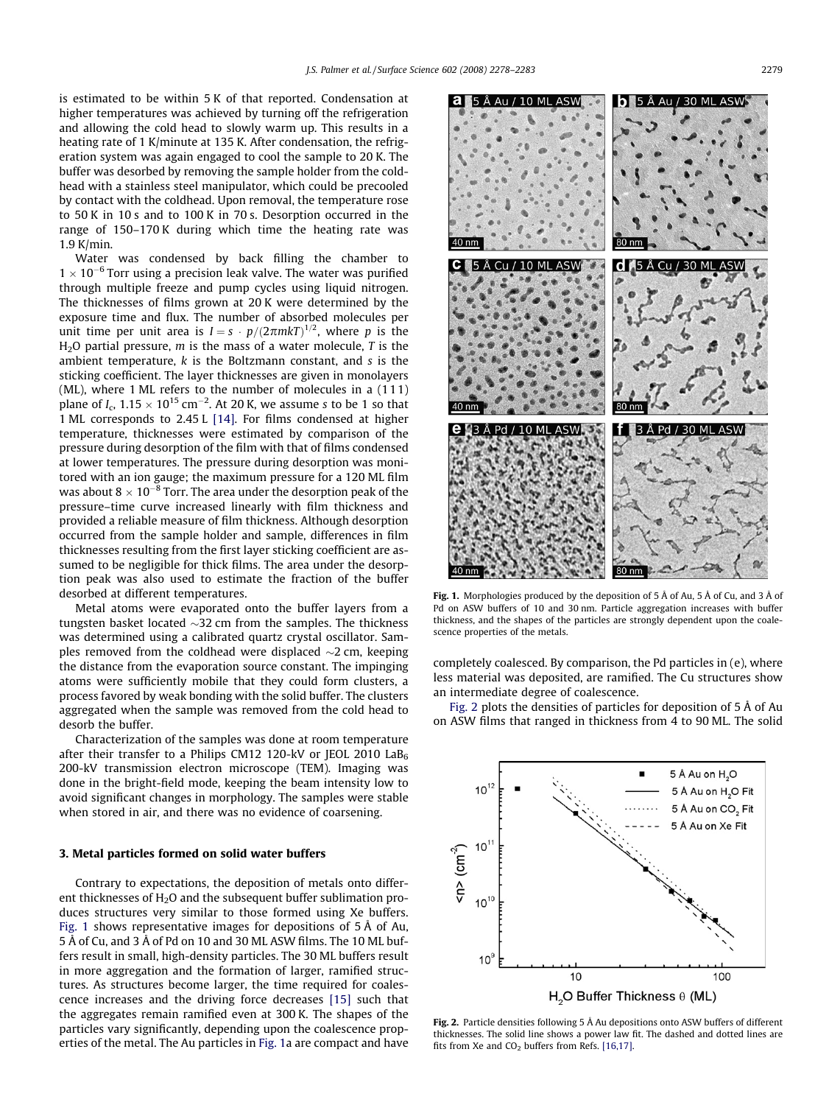<span id="page-1-0"></span>is estimated to be within 5 K of that reported. Condensation at higher temperatures was achieved by turning off the refrigeration and allowing the cold head to slowly warm up. This results in a heating rate of 1 K/minute at 135 K. After condensation, the refrigeration system was again engaged to cool the sample to 20 K. The buffer was desorbed by removing the sample holder from the coldhead with a stainless steel manipulator, which could be precooled by contact with the coldhead. Upon removal, the temperature rose to 50 K in 10 s and to 100 K in 70 s. Desorption occurred in the range of 150–170 K during which time the heating rate was 1.9 K/min.

Water was condensed by back filling the chamber to  $1 \times 10^{-6}$  Torr using a precision leak valve. The water was purified through multiple freeze and pump cycles using liquid nitrogen. The thicknesses of films grown at 20 K were determined by the exposure time and flux. The number of absorbed molecules per unit time per unit area is  $I = s \cdot p/(2\pi m kT)^{1/2}$ , where p is the  $H<sub>2</sub>O$  partial pressure, m is the mass of a water molecule, T is the ambient temperature,  $k$  is the Boltzmann constant, and  $s$  is the sticking coefficient. The layer thicknesses are given in monolayers (ML), where 1 ML refers to the number of molecules in a (111) plane of I<sub>c</sub>,  $1.15 \times 10^{15}$  cm<sup>-2</sup>. At 20 K, we assume s to be 1 so that 1 ML corresponds to 2.45 L [\[14\].](#page-5-0) For films condensed at higher temperature, thicknesses were estimated by comparison of the pressure during desorption of the film with that of films condensed at lower temperatures. The pressure during desorption was monitored with an ion gauge; the maximum pressure for a 120 ML film was about  $8 \times 10^{-8}$  Torr. The area under the desorption peak of the pressure–time curve increased linearly with film thickness and provided a reliable measure of film thickness. Although desorption occurred from the sample holder and sample, differences in film thicknesses resulting from the first layer sticking coefficient are assumed to be negligible for thick films. The area under the desorption peak was also used to estimate the fraction of the buffer desorbed at different temperatures.

Metal atoms were evaporated onto the buffer layers from a tungsten basket located  ${\sim}32$  cm from the samples. The thickness was determined using a calibrated quartz crystal oscillator. Samples removed from the coldhead were displaced  ${\sim}2$  cm, keeping the distance from the evaporation source constant. The impinging atoms were sufficiently mobile that they could form clusters, a process favored by weak bonding with the solid buffer. The clusters aggregated when the sample was removed from the cold head to desorb the buffer.

Characterization of the samples was done at room temperature after their transfer to a Philips CM12 120-kV or JEOL 2010  $LaB<sub>6</sub>$ 200-kV transmission electron microscope (TEM). Imaging was done in the bright-field mode, keeping the beam intensity low to avoid significant changes in morphology. The samples were stable when stored in air, and there was no evidence of coarsening.

## 3. Metal particles formed on solid water buffers

Contrary to expectations, the deposition of metals onto different thicknesses of  $H<sub>2</sub>O$  and the subsequent buffer sublimation produces structures very similar to those formed using Xe buffers. Fig. 1 shows representative images for depositions of 5 Å of Au, 5 Å of Cu, and 3 Å of Pd on 10 and 30 ML ASW films. The 10 ML buffers result in small, high-density particles. The 30 ML buffers result in more aggregation and the formation of larger, ramified structures. As structures become larger, the time required for coalescence increases and the driving force decreases [\[15\]](#page-5-0) such that the aggregates remain ramified even at 300 K. The shapes of the particles vary significantly, depending upon the coalescence properties of the metal. The Au particles in Fig. 1a are compact and have



Fig. 1. Morphologies produced by the deposition of 5 Å of Au, 5 Å of Cu, and 3 Å of Pd on ASW buffers of 10 and 30 nm. Particle aggregation increases with buffer thickness, and the shapes of the particles are strongly dependent upon the coalescence properties of the metals.

completely coalesced. By comparison, the Pd particles in (e), where less material was deposited, are ramified. The Cu structures show an intermediate degree of coalescence.

Fig. 2 plots the densities of particles for deposition of 5 Å of Au on ASW films that ranged in thickness from 4 to 90 ML. The solid



Fig. 2. Particle densities following 5 Å Au depositions onto ASW buffers of different thicknesses. The solid line shows a power law fit. The dashed and dotted lines are fits from Xe and  $CO<sub>2</sub>$  buffers from Refs. [\[16,17\]](#page-5-0).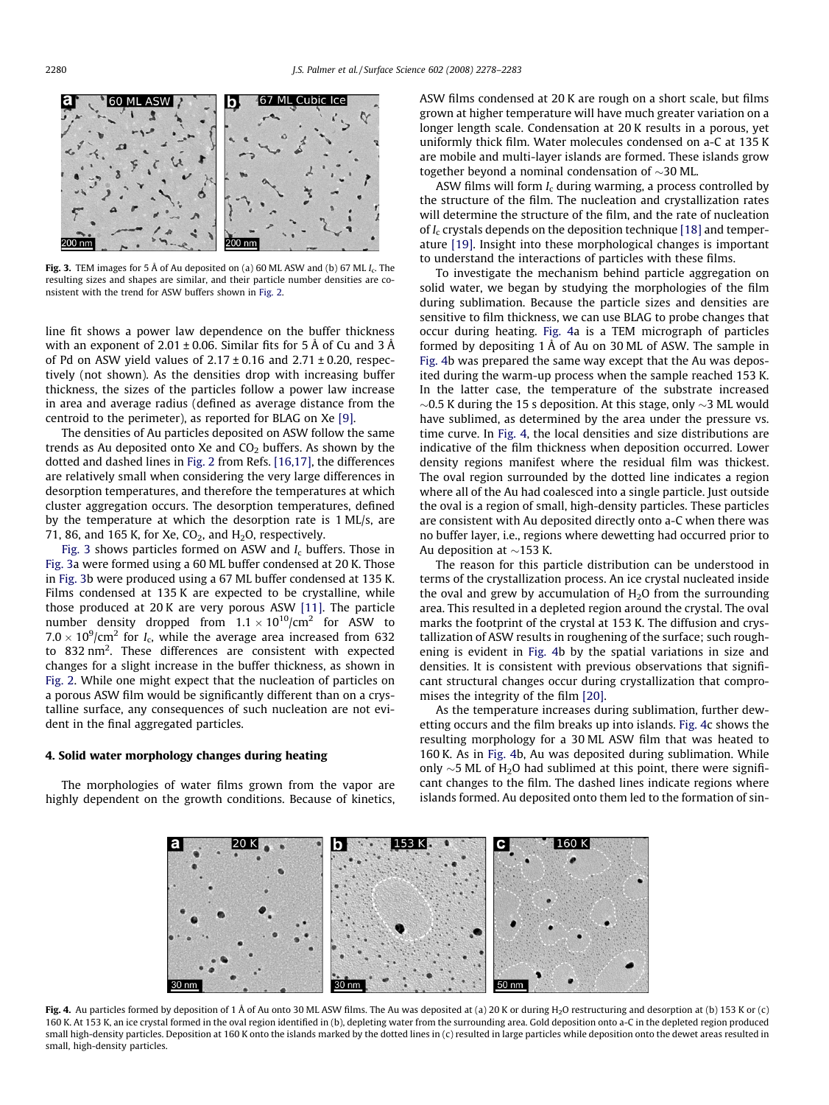<span id="page-2-0"></span>

Fig. 3. TEM images for 5 Å of Au deposited on (a) 60 ML ASW and (b) 67 ML  $I_c$ . The resulting sizes and shapes are similar, and their particle number densities are consistent with the trend for ASW buffers shown in [Fig. 2.](#page-1-0)

line fit shows a power law dependence on the buffer thickness with an exponent of 2.01  $\pm$  0.06. Similar fits for 5 Å of Cu and 3 Å of Pd on ASW yield values of  $2.17 \pm 0.16$  and  $2.71 \pm 0.20$ , respectively (not shown). As the densities drop with increasing buffer thickness, the sizes of the particles follow a power law increase in area and average radius (defined as average distance from the centroid to the perimeter), as reported for BLAG on Xe [\[9\].](#page-5-0)

The densities of Au particles deposited on ASW follow the same trends as Au deposited onto Xe and  $CO<sub>2</sub>$  buffers. As shown by the dotted and dashed lines in [Fig. 2](#page-1-0) from Refs. [\[16,17\],](#page-5-0) the differences are relatively small when considering the very large differences in desorption temperatures, and therefore the temperatures at which cluster aggregation occurs. The desorption temperatures, defined by the temperature at which the desorption rate is 1 ML/s, are 71, 86, and 165 K, for Xe,  $CO<sub>2</sub>$ , and  $H<sub>2</sub>O$ , respectively.

Fig. 3 shows particles formed on ASW and  $I_c$  buffers. Those in Fig. 3a were formed using a 60 ML buffer condensed at 20 K. Those in Fig. 3b were produced using a 67 ML buffer condensed at 135 K. Films condensed at 135 K are expected to be crystalline, while those produced at 20 K are very porous ASW [\[11\].](#page-5-0) The particle number density dropped from  $1.1 \times 10^{10}$ /cm<sup>2</sup> for ASW to  $7.0 \times 10^9$ /cm<sup>2</sup> for I<sub>c</sub>, while the average area increased from 632 to 832 nm<sup>2</sup>. These differences are consistent with expected changes for a slight increase in the buffer thickness, as shown in [Fig. 2](#page-1-0). While one might expect that the nucleation of particles on a porous ASW film would be significantly different than on a crystalline surface, any consequences of such nucleation are not evident in the final aggregated particles.

#### 4. Solid water morphology changes during heating

The morphologies of water films grown from the vapor are highly dependent on the growth conditions. Because of kinetics, ASW films condensed at 20 K are rough on a short scale, but films grown at higher temperature will have much greater variation on a longer length scale. Condensation at 20 K results in a porous, yet uniformly thick film. Water molecules condensed on a-C at 135 K are mobile and multi-layer islands are formed. These islands grow together beyond a nominal condensation of  $\sim$ 30 ML.

ASW films will form  $I_c$  during warming, a process controlled by the structure of the film. The nucleation and crystallization rates will determine the structure of the film, and the rate of nucleation of  $I_c$  crystals depends on the deposition technique [\[18\]](#page-5-0) and temperature [\[19\].](#page-5-0) Insight into these morphological changes is important to understand the interactions of particles with these films.

To investigate the mechanism behind particle aggregation on solid water, we began by studying the morphologies of the film during sublimation. Because the particle sizes and densities are sensitive to film thickness, we can use BLAG to probe changes that occur during heating. Fig. 4a is a TEM micrograph of particles formed by depositing 1 Å of Au on 30 ML of ASW. The sample in Fig. 4b was prepared the same way except that the Au was deposited during the warm-up process when the sample reached 153 K. In the latter case, the temperature of the substrate increased  $\sim$ 0.5 K during the 15 s deposition. At this stage, only  $\sim$ 3 ML would have sublimed, as determined by the area under the pressure vs. time curve. In Fig. 4, the local densities and size distributions are indicative of the film thickness when deposition occurred. Lower density regions manifest where the residual film was thickest. The oval region surrounded by the dotted line indicates a region where all of the Au had coalesced into a single particle. Just outside the oval is a region of small, high-density particles. These particles are consistent with Au deposited directly onto a-C when there was no buffer layer, i.e., regions where dewetting had occurred prior to Au deposition at  ${\sim}153$  K.

The reason for this particle distribution can be understood in terms of the crystallization process. An ice crystal nucleated inside the oval and grew by accumulation of  $H_2O$  from the surrounding area. This resulted in a depleted region around the crystal. The oval marks the footprint of the crystal at 153 K. The diffusion and crystallization of ASW results in roughening of the surface; such roughening is evident in Fig. 4b by the spatial variations in size and densities. It is consistent with previous observations that significant structural changes occur during crystallization that compromises the integrity of the film [\[20\]](#page-5-0).

As the temperature increases during sublimation, further dewetting occurs and the film breaks up into islands. Fig. 4c shows the resulting morphology for a 30 ML ASW film that was heated to 160 K. As in Fig. 4b, Au was deposited during sublimation. While only  $\sim$ 5 ML of H<sub>2</sub>O had sublimed at this point, there were significant changes to the film. The dashed lines indicate regions where islands formed. Au deposited onto them led to the formation of sin-



Fig. 4. Au particles formed by deposition of 1 Å of Au onto 30 ML ASW films. The Au was deposited at (a) 20 K or during H<sub>2</sub>O restructuring and desorption at (b) 153 K or (c) 160 K. At 153 K, an ice crystal formed in the oval region identified in (b), depleting water from the surrounding area. Gold deposition onto a-C in the depleted region produced small high-density particles. Deposition at 160 K onto the islands marked by the dotted lines in (c) resulted in large particles while deposition onto the dewet areas resulted in small, high-density particles.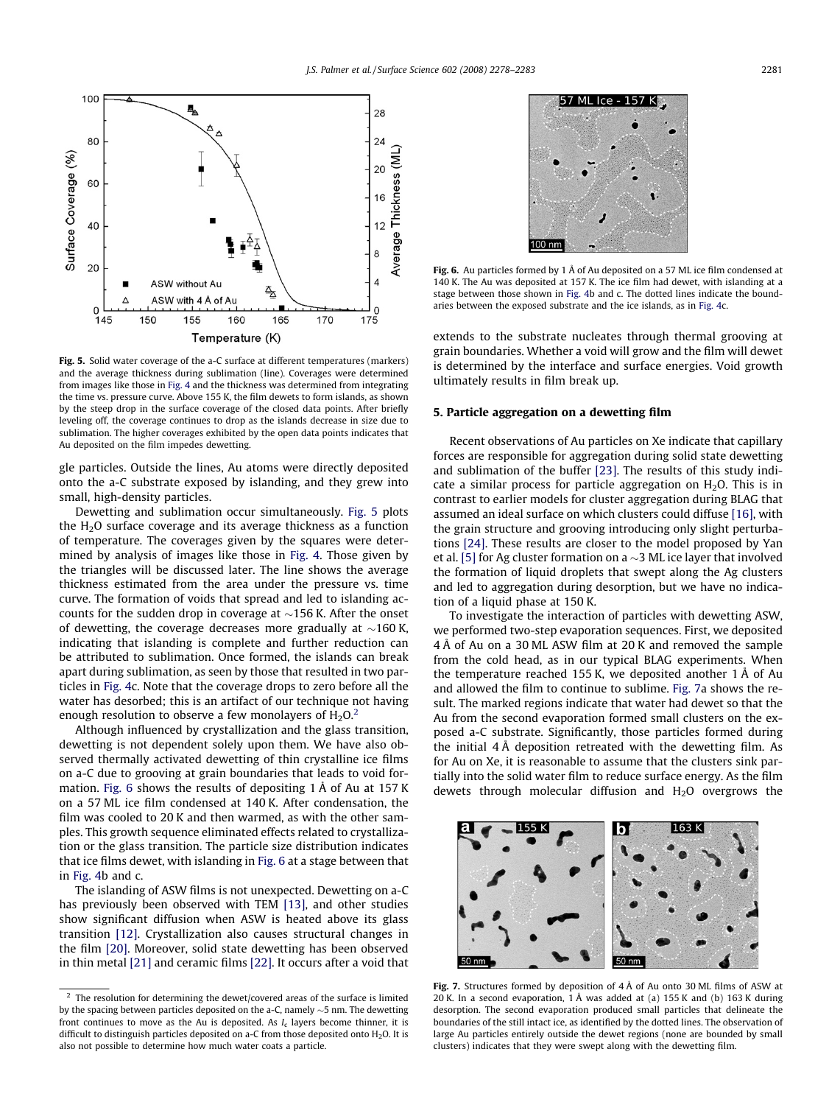<span id="page-3-0"></span>

Fig. 5. Solid water coverage of the a-C surface at different temperatures (markers) and the average thickness during sublimation (line). Coverages were determined from images like those in [Fig. 4](#page-2-0) and the thickness was determined from integrating the time vs. pressure curve. Above 155 K, the film dewets to form islands, as shown by the steep drop in the surface coverage of the closed data points. After briefly leveling off, the coverage continues to drop as the islands decrease in size due to sublimation. The higher coverages exhibited by the open data points indicates that Au deposited on the film impedes dewetting.

gle particles. Outside the lines, Au atoms were directly deposited onto the a-C substrate exposed by islanding, and they grew into small, high-density particles.

Dewetting and sublimation occur simultaneously. Fig. 5 plots the  $H<sub>2</sub>O$  surface coverage and its average thickness as a function of temperature. The coverages given by the squares were determined by analysis of images like those in [Fig. 4.](#page-2-0) Those given by the triangles will be discussed later. The line shows the average thickness estimated from the area under the pressure vs. time curve. The formation of voids that spread and led to islanding accounts for the sudden drop in coverage at  ${\sim}156$  K. After the onset of dewetting, the coverage decreases more gradually at  ${\sim}160$  K, indicating that islanding is complete and further reduction can be attributed to sublimation. Once formed, the islands can break apart during sublimation, as seen by those that resulted in two particles in [Fig. 4c](#page-2-0). Note that the coverage drops to zero before all the water has desorbed; this is an artifact of our technique not having enough resolution to observe a few monolayers of  $H_2O<sup>2</sup>$ .

Although influenced by crystallization and the glass transition, dewetting is not dependent solely upon them. We have also observed thermally activated dewetting of thin crystalline ice films on a-C due to grooving at grain boundaries that leads to void formation. Fig. 6 shows the results of depositing 1 Å of Au at 157 K on a 57 ML ice film condensed at 140 K. After condensation, the film was cooled to 20 K and then warmed, as with the other samples. This growth sequence eliminated effects related to crystallization or the glass transition. The particle size distribution indicates that ice films dewet, with islanding in Fig. 6 at a stage between that in [Fig. 4](#page-2-0)b and c.

The islanding of ASW films is not unexpected. Dewetting on a-C has previously been observed with TEM [\[13\]](#page-5-0), and other studies show significant diffusion when ASW is heated above its glass transition [\[12\].](#page-5-0) Crystallization also causes structural changes in the film [\[20\].](#page-5-0) Moreover, solid state dewetting has been observed in thin metal [\[21\]](#page-5-0) and ceramic films [\[22\]](#page-5-0). It occurs after a void that



Fig. 6. Au particles formed by 1 Å of Au deposited on a 57 ML ice film condensed at 140 K. The Au was deposited at 157 K. The ice film had dewet, with islanding at a stage between those shown in [Fig. 4b](#page-2-0) and c. The dotted lines indicate the boundaries between the exposed substrate and the ice islands, as in [Fig. 4c](#page-2-0).

extends to the substrate nucleates through thermal grooving at grain boundaries. Whether a void will grow and the film will dewet is determined by the interface and surface energies. Void growth ultimately results in film break up.

# 5. Particle aggregation on a dewetting film

Recent observations of Au particles on Xe indicate that capillary forces are responsible for aggregation during solid state dewetting and sublimation of the buffer [\[23\]](#page-5-0). The results of this study indicate a similar process for particle aggregation on  $H_2O$ . This is in contrast to earlier models for cluster aggregation during BLAG that assumed an ideal surface on which clusters could diffuse [\[16\]](#page-5-0), with the grain structure and grooving introducing only slight perturbations [\[24\].](#page-5-0) These results are closer to the model proposed by Yan et al. [\[5\]](#page-5-0) for Ag cluster formation on a  ${\sim}3$  ML ice layer that involved the formation of liquid droplets that swept along the Ag clusters and led to aggregation during desorption, but we have no indication of a liquid phase at 150 K.

To investigate the interaction of particles with dewetting ASW, we performed two-step evaporation sequences. First, we deposited 4 Å of Au on a 30 ML ASW film at 20 K and removed the sample from the cold head, as in our typical BLAG experiments. When the temperature reached 155 K, we deposited another 1 Å of Au and allowed the film to continue to sublime. Fig. 7a shows the result. The marked regions indicate that water had dewet so that the Au from the second evaporation formed small clusters on the exposed a-C substrate. Significantly, those particles formed during the initial 4 Å deposition retreated with the dewetting film. As for Au on Xe, it is reasonable to assume that the clusters sink partially into the solid water film to reduce surface energy. As the film dewets through molecular diffusion and  $H_2O$  overgrows the



Fig. 7. Structures formed by deposition of 4 Å of Au onto 30 ML films of ASW at 20 K. In a second evaporation, 1 Å was added at (a) 155 K and (b) 163 K during desorption. The second evaporation produced small particles that delineate the boundaries of the still intact ice, as identified by the dotted lines. The observation of large Au particles entirely outside the dewet regions (none are bounded by small clusters) indicates that they were swept along with the dewetting film.

 $2$  The resolution for determining the dewet/covered areas of the surface is limited by the spacing between particles deposited on the a-C, namely  ${\sim}5$  nm. The dewetting front continues to move as the Au is deposited. As  $I_c$  layers become thinner, it is difficult to distinguish particles deposited on a-C from those deposited onto  $H_2O$ . It is also not possible to determine how much water coats a particle.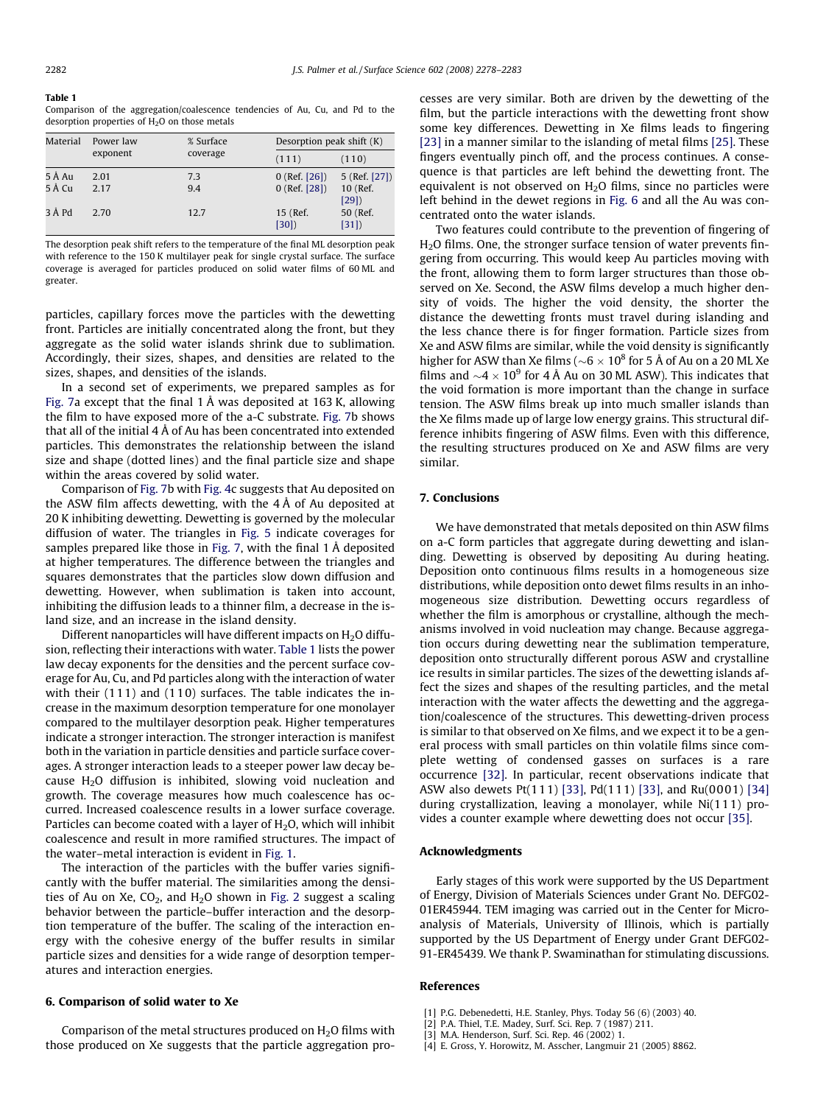#### <span id="page-4-0"></span>Table 1

Comparison of the aggregation/coalescence tendencies of Au, Cu, and Pd to the desorption properties of  $H<sub>2</sub>O$  on those metals

| Material         | Power law    | % Surface<br>coverage | Desorption peak shift $(K)$        |                                   |
|------------------|--------------|-----------------------|------------------------------------|-----------------------------------|
|                  | exponent     |                       | (111)                              | (110)                             |
| 5 Å Au<br>5 Å Cu | 2.01<br>2.17 | 7.3<br>9.4            | $0$ (Ref. [26])<br>$0$ (Ref. [28]) | 5 (Ref. [27])<br>10 (Ref.<br>[29] |
| 3 Å Pd           | 2.70         | 12.7                  | 15 (Ref.<br>[30]                   | 50 (Ref.<br>[31]                  |

The desorption peak shift refers to the temperature of the final ML desorption peak with reference to the 150 K multilayer peak for single crystal surface. The surface coverage is averaged for particles produced on solid water films of 60 ML and greater.

particles, capillary forces move the particles with the dewetting front. Particles are initially concentrated along the front, but they aggregate as the solid water islands shrink due to sublimation. Accordingly, their sizes, shapes, and densities are related to the sizes, shapes, and densities of the islands.

In a second set of experiments, we prepared samples as for [Fig. 7](#page-3-0)a except that the final 1 Å was deposited at 163 K, allowing the film to have exposed more of the a-C substrate. [Fig. 7b](#page-3-0) shows that all of the initial 4 Å of Au has been concentrated into extended particles. This demonstrates the relationship between the island size and shape (dotted lines) and the final particle size and shape within the areas covered by solid water.

Comparison of [Fig. 7](#page-3-0)b with [Fig. 4](#page-2-0)c suggests that Au deposited on the ASW film affects dewetting, with the 4 Å of Au deposited at 20 K inhibiting dewetting. Dewetting is governed by the molecular diffusion of water. The triangles in [Fig. 5](#page-3-0) indicate coverages for samples prepared like those in [Fig. 7,](#page-3-0) with the final 1 Å deposited at higher temperatures. The difference between the triangles and squares demonstrates that the particles slow down diffusion and dewetting. However, when sublimation is taken into account, inhibiting the diffusion leads to a thinner film, a decrease in the island size, and an increase in the island density.

Different nanoparticles will have different impacts on  $H_2O$  diffusion, reflecting their interactions with water. Table 1 lists the power law decay exponents for the densities and the percent surface coverage for Au, Cu, and Pd particles along with the interaction of water with their  $(111)$  and  $(110)$  surfaces. The table indicates the increase in the maximum desorption temperature for one monolayer compared to the multilayer desorption peak. Higher temperatures indicate a stronger interaction. The stronger interaction is manifest both in the variation in particle densities and particle surface coverages. A stronger interaction leads to a steeper power law decay because  $H<sub>2</sub>O$  diffusion is inhibited, slowing void nucleation and growth. The coverage measures how much coalescence has occurred. Increased coalescence results in a lower surface coverage. Particles can become coated with a layer of  $H_2O$ , which will inhibit coalescence and result in more ramified structures. The impact of the water–metal interaction is evident in [Fig. 1.](#page-1-0)

The interaction of the particles with the buffer varies significantly with the buffer material. The similarities among the densities of Au on Xe,  $CO<sub>2</sub>$ , and  $H<sub>2</sub>O$  shown in [Fig. 2](#page-1-0) suggest a scaling behavior between the particle–buffer interaction and the desorption temperature of the buffer. The scaling of the interaction energy with the cohesive energy of the buffer results in similar particle sizes and densities for a wide range of desorption temperatures and interaction energies.

# 6. Comparison of solid water to Xe

Comparison of the metal structures produced on  $H_2O$  films with those produced on Xe suggests that the particle aggregation processes are very similar. Both are driven by the dewetting of the film, but the particle interactions with the dewetting front show some key differences. Dewetting in Xe films leads to fingering [\[23\]](#page-5-0) in a manner similar to the islanding of metal films [\[25\].](#page-5-0) These fingers eventually pinch off, and the process continues. A consequence is that particles are left behind the dewetting front. The equivalent is not observed on  $H<sub>2</sub>O$  films, since no particles were left behind in the dewet regions in [Fig. 6](#page-3-0) and all the Au was concentrated onto the water islands.

Two features could contribute to the prevention of fingering of H2O films. One, the stronger surface tension of water prevents fingering from occurring. This would keep Au particles moving with the front, allowing them to form larger structures than those observed on Xe. Second, the ASW films develop a much higher density of voids. The higher the void density, the shorter the distance the dewetting fronts must travel during islanding and the less chance there is for finger formation. Particle sizes from Xe and ASW films are similar, while the void density is significantly higher for ASW than Xe films ( $\sim$ 6  $\times$  10 $^{8}$  for 5 Å of Au on a 20 ML Xe films and  $\sim$ 4  $\times$  10<sup>9</sup> for 4 Å Au on 30 ML ASW). This indicates that the void formation is more important than the change in surface tension. The ASW films break up into much smaller islands than the Xe films made up of large low energy grains. This structural difference inhibits fingering of ASW films. Even with this difference, the resulting structures produced on Xe and ASW films are very similar.

# 7. Conclusions

We have demonstrated that metals deposited on thin ASW films on a-C form particles that aggregate during dewetting and islanding. Dewetting is observed by depositing Au during heating. Deposition onto continuous films results in a homogeneous size distributions, while deposition onto dewet films results in an inhomogeneous size distribution. Dewetting occurs regardless of whether the film is amorphous or crystalline, although the mechanisms involved in void nucleation may change. Because aggregation occurs during dewetting near the sublimation temperature, deposition onto structurally different porous ASW and crystalline ice results in similar particles. The sizes of the dewetting islands affect the sizes and shapes of the resulting particles, and the metal interaction with the water affects the dewetting and the aggregation/coalescence of the structures. This dewetting-driven process is similar to that observed on Xe films, and we expect it to be a general process with small particles on thin volatile films since complete wetting of condensed gasses on surfaces is a rare occurrence [\[32\].](#page-5-0) In particular, recent observations indicate that ASW also dewets Pt(111) [\[33\]](#page-5-0), Pd(111) [\[33\],](#page-5-0) and Ru(0001) [\[34\]](#page-5-0) during crystallization, leaving a monolayer, while Ni(111) provides a counter example where dewetting does not occur [\[35\].](#page-5-0)

# Acknowledgments

Early stages of this work were supported by the US Department of Energy, Division of Materials Sciences under Grant No. DEFG02- 01ER45944. TEM imaging was carried out in the Center for Microanalysis of Materials, University of Illinois, which is partially supported by the US Department of Energy under Grant DEFG02- 91-ER45439. We thank P. Swaminathan for stimulating discussions.

# References

- [1] P.G. Debenedetti, H.E. Stanley, Phys. Today 56 (6) (2003) 40.
- [2] P.A. Thiel, T.E. Madey, Surf. Sci. Rep. 7 (1987) 211.
- [3] M.A. Henderson, Surf. Sci. Rep. 46 (2002) 1.
- [4] E. Gross, Y. Horowitz, M. Asscher, Langmuir 21 (2005) 8862.